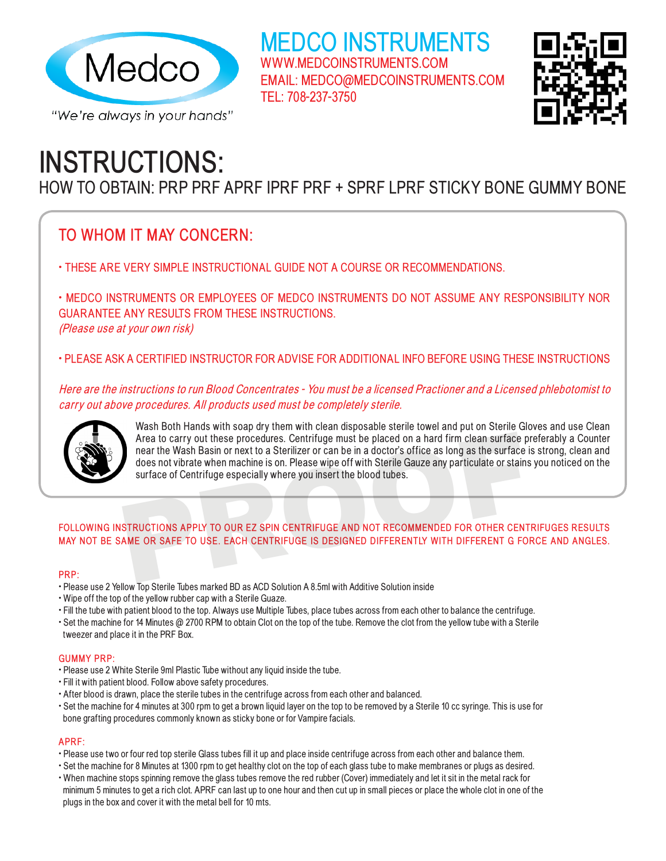

**INSTRUCTIONS:** 

HOW TO OBTAIN: PRP PRF APRF IPRF PRF + SPRF LPRF STICKY BONE GUMMY BONE

TEL: 708-237-3750

MEDCO INSTRUMENTS

EMAIL: MEDCO@MEDCOINSTRUMENTS.COM

WWW.MEDCOINSTRUMENTS.COM

## **TO WHOM IT MAY CONCERN:**

• THESE ARE VERY SIMPLE INSTRUCTIONAL GUIDE NOT A COURSE OR RECOMMENDATIONS.

• MEDCO INSTRUMENTS OR EMPLOYEES OF MEDCO INSTRUMENTS DO NOT ASSUME ANY RESPONSIBILITY NOR GUARANTEE ANY RESULTS FROM THESE INSTRUCTIONS. (Please use at your own risk)

• PLEASE ASK A CERTIFIED INSTRUCTOR FOR ADVISE FOR ADDITIONAL INFO BEFORE USING THESE INSTRUCTIONS

Here are the instructions to run Blood Concentrates - You must be a licensed Practioner and a Licensed phlebotomist to carry out above procedures. All products used must be completely sterile.



Wash Both Hands with soap dry them with clean disposable sterile towel and put on Sterile Gloves and use Clean Area to carry out these procedures. Centrifuge must be placed on a hard firm clean surface preferably a Counter near the Wash Basin or next to a Sterilizer or can be in a doctor's office as long as the surface is strong, clean and does not vibrate when machine is on. Please wipe off with Sterile Gauze any particulate or stains you noticed on the surface of Centrifuge especially where you insert the blood tubes. Area to carry out these procedures. Centrifuge must be placed on a hard firm clean surface preferably a Counter near the Wash Basin or next to a Sterilizer or can be in a doctor's office as long as the surface is strong, c

# **FOLLOWING INSTRUCTIONS APPLY TO OUR EZ SPIN CENTRIFUGE AND NOT RECOMMENDED FOR OTHER CENTRIFUGES RESULTS**

#### **PRP:**

- Please use 2 Yellow Top Sterile Tubes marked BD as ACD Solution A 8.5ml with Additive Solution inside
- Wipe off the top of the yellow rubber cap with a Sterile Guaze.
- Fill the tube with patient blood to the top. Always use Multiple Tubes, place tubes across from each other to balance the centrifuge.
- Set the machine for 14 Minutes @ 2700 RPM to obtain Clot on the top of the tube. Remove the clot from the yellow tube with a Sterile tweezer and place it in the PRF Box.

#### **GUMMY PRP:**

- Please use 2 White Sterile 9ml Plastic Tube without any liquid inside the tube.
- Fill it with patient blood. Follow above safety procedures.
- After blood is drawn, place the sterile tubes in the centrifuge across from each other and balanced.
- Set the machine for 4 minutes at 300 rpm to get a brown liquid layer on the top to be removed by a Sterile 10 cc syringe. This is use for bone grafting procedures commonly known as sticky bone or for Vampire facials.

#### **APRF:**

- Please use two or four red top sterile Glass tubes fill it up and place inside centrifuge across from each other and balance them.
- Set the machine for 8 Minutes at 1300 rpm to get healthy clot on the top of each glass tube to make membranes or plugs as desired.
- When machine stops spinning remove the glass tubes remove the red rubber (Cover) immediately and let it sit in the metal rack for minimum 5 minutes to get a rich clot. APRF can last up to one hour and then cut up in small pieces or place the whole clot in one of the plugs in the box and cover it with the metal bell for 10 mts.